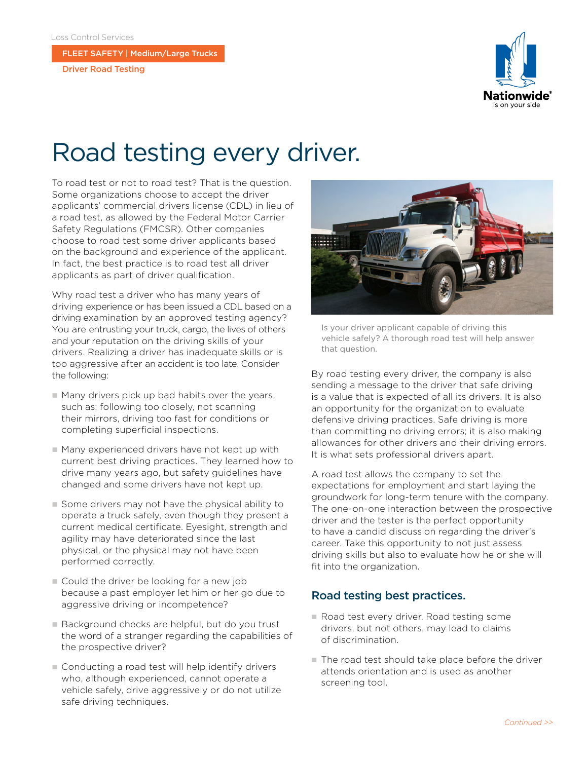FLEET SAFETY | Medium/Large Trucks

Driver Road Testing



# Road testing every driver.

To road test or not to road test? That is the question. Some organizations choose to accept the driver applicants' commercial drivers license (CDL) in lieu of a road test, as allowed by the Federal Motor Carrier Safety Regulations (FMCSR). Other companies choose to road test some driver applicants based on the background and experience of the applicant. In fact, the best practice is to road test all driver applicants as part of driver qualification.

Why road test a driver who has many years of driving experience or has been issued a CDL based on a driving examination by an approved testing agency? You are entrusting your truck, cargo, the lives of others and your reputation on the driving skills of your drivers. Realizing a driver has inadequate skills or is too aggressive after an accident is too late. Consider the following:

- Many drivers pick up bad habits over the years, such as: following too closely, not scanning their mirrors, driving too fast for conditions or completing superficial inspections.
- $\blacksquare$  Many experienced drivers have not kept up with current best driving practices. They learned how to drive many years ago, but safety guidelines have changed and some drivers have not kept up.
- $\blacksquare$  Some drivers may not have the physical ability to operate a truck safely, even though they present a current medical certificate. Eyesight, strength and agility may have deteriorated since the last physical, or the physical may not have been performed correctly.
- Could the driver be looking for a new job because a past employer let him or her go due to aggressive driving or incompetence?
- Background checks are helpful, but do you trust the word of a stranger regarding the capabilities of the prospective driver?
- Conducting a road test will help identify drivers who, although experienced, cannot operate a vehicle safely, drive aggressively or do not utilize safe driving techniques.



Is your driver applicant capable of driving this vehicle safely? A thorough road test will help answer that question.

By road testing every driver, the company is also sending a message to the driver that safe driving is a value that is expected of all its drivers. It is also an opportunity for the organization to evaluate defensive driving practices. Safe driving is more than committing no driving errors; it is also making allowances for other drivers and their driving errors. It is what sets professional drivers apart.

A road test allows the company to set the expectations for employment and start laying the groundwork for long-term tenure with the company. The one-on-one interaction between the prospective driver and the tester is the perfect opportunity to have a candid discussion regarding the driver's career. Take this opportunity to not just assess driving skills but also to evaluate how he or she will fit into the organization.

# Road testing best practices.

- n Road test every driver. Road testing some drivers, but not others, may lead to claims of discrimination.
- $\blacksquare$  The road test should take place before the driver attends orientation and is used as another screening tool.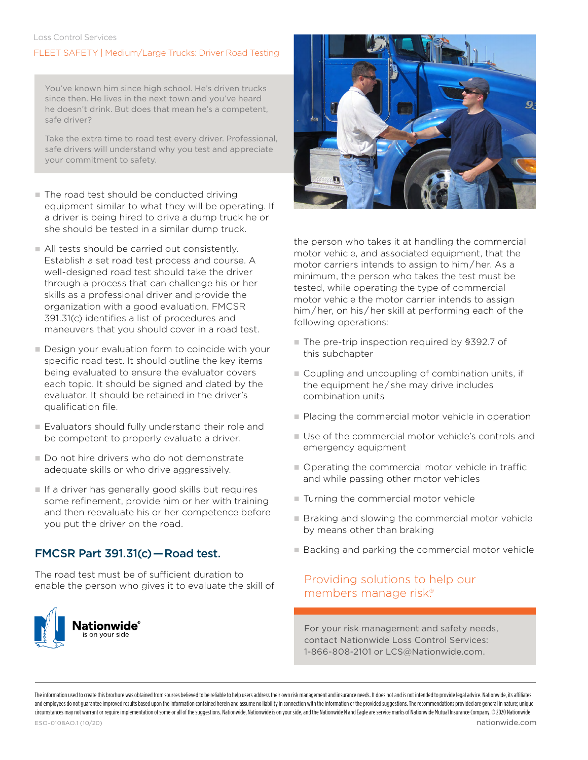#### Loss Control Services

### FLEET SAFETY | Medium/Large Trucks: Driver Road Testing

You've known him since high school. He's driven trucks since then. He lives in the next town and you've heard he doesn't drink. But does that mean he's a competent, safe driver?

Take the extra time to road test every driver. Professional, safe drivers will understand why you test and appreciate your commitment to safety.

- $\blacksquare$  The road test should be conducted driving equipment similar to what they will be operating. If a driver is being hired to drive a dump truck he or she should be tested in a similar dump truck.
- All tests should be carried out consistently. Establish a set road test process and course. A well-designed road test should take the driver through a process that can challenge his or her skills as a professional driver and provide the organization with a good evaluation. FMCSR 391.31(c) identifies a list of procedures and maneuvers that you should cover in a road test.
- Design your evaluation form to coincide with your specific road test. It should outline the key items being evaluated to ensure the evaluator covers each topic. It should be signed and dated by the evaluator. It should be retained in the driver's qualification file.
- Evaluators should fully understand their role and be competent to properly evaluate a driver.
- Do not hire drivers who do not demonstrate adequate skills or who drive aggressively.
- $\blacksquare$  If a driver has generally good skills but requires some refinement, provide him or her with training and then reevaluate his or her competence before you put the driver on the road.

# FMCSR Part 391.31(c) — Road test.

The road test must be of sufficient duration to enable the person who gives it to evaluate the skill of





the person who takes it at handling the commercial motor vehicle, and associated equipment, that the motor carriers intends to assign to him / her. As a minimum, the person who takes the test must be tested, while operating the type of commercial motor vehicle the motor carrier intends to assign him / her, on his / her skill at performing each of the following operations:

- The pre-trip inspection required by §392.7 of this subchapter
- Coupling and uncoupling of combination units, if the equipment he / she may drive includes combination units
- Placing the commercial motor vehicle in operation
- $\blacksquare$  Use of the commercial motor vehicle's controls and emergency equipment
- $\blacksquare$  Operating the commercial motor vehicle in traffic and while passing other motor vehicles
- $\blacksquare$  Turning the commercial motor vehicle
- Braking and slowing the commercial motor vehicle by means other than braking
- Backing and parking the commercial motor vehicle

### Providing solutions to help our members manage risk.®

For your risk management and safety needs, contact Nationwide Loss Control Services: 1-866-808-2101 or LCS@Nationwide.com.

The information uted to create this produced we selling to counted the provided to be prejuding to be priced to be provided to parament and insurance ments that popularing the altable to a property in the produced to be ve and employees do not quarantee improved results based upon the information contained herein and assume no liability in connection with the information or the provided suggestions. The recommendations provided are general i circumstances may not warrant or require implementation of some or all of the suggestions. Nationwide, Nationwide is on your side, and the Nationwide N and Eagle are service marks of Nationwide Mutual Insurance Company. ©